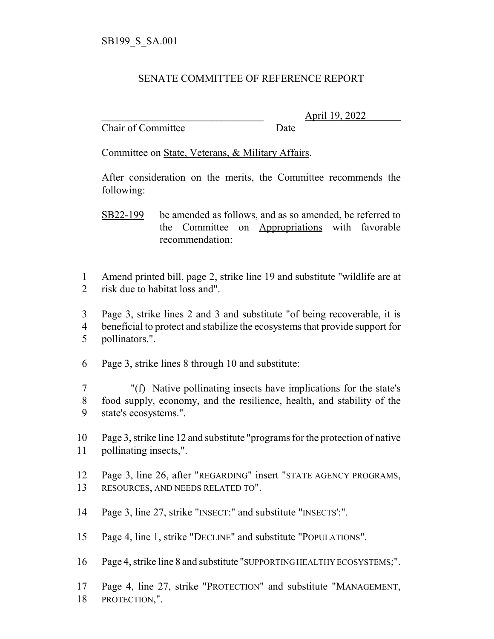## SENATE COMMITTEE OF REFERENCE REPORT

Chair of Committee Date

\_\_\_\_\_\_\_\_\_\_\_\_\_\_\_\_\_\_\_\_\_\_\_\_\_\_\_\_\_\_\_ April 19, 2022

Committee on State, Veterans, & Military Affairs.

After consideration on the merits, the Committee recommends the following:

 Amend printed bill, page 2, strike line 19 and substitute "wildlife are at risk due to habitat loss and".

 Page 3, strike lines 2 and 3 and substitute "of being recoverable, it is beneficial to protect and stabilize the ecosystems that provide support for pollinators.".

Page 3, strike lines 8 through 10 and substitute:

 "(f) Native pollinating insects have implications for the state's food supply, economy, and the resilience, health, and stability of the state's ecosystems.".

 Page 3, strike line 12 and substitute "programs for the protection of native pollinating insects,".

 Page 3, line 26, after "REGARDING" insert "STATE AGENCY PROGRAMS, RESOURCES, AND NEEDS RELATED TO".

Page 3, line 27, strike "INSECT:" and substitute "INSECTS':".

Page 4, line 1, strike "DECLINE" and substitute "POPULATIONS".

Page 4, strike line 8 and substitute "SUPPORTING HEALTHY ECOSYSTEMS;".

 Page 4, line 27, strike "PROTECTION" and substitute "MANAGEMENT, PROTECTION,".

SB22-199 be amended as follows, and as so amended, be referred to the Committee on Appropriations with favorable recommendation: